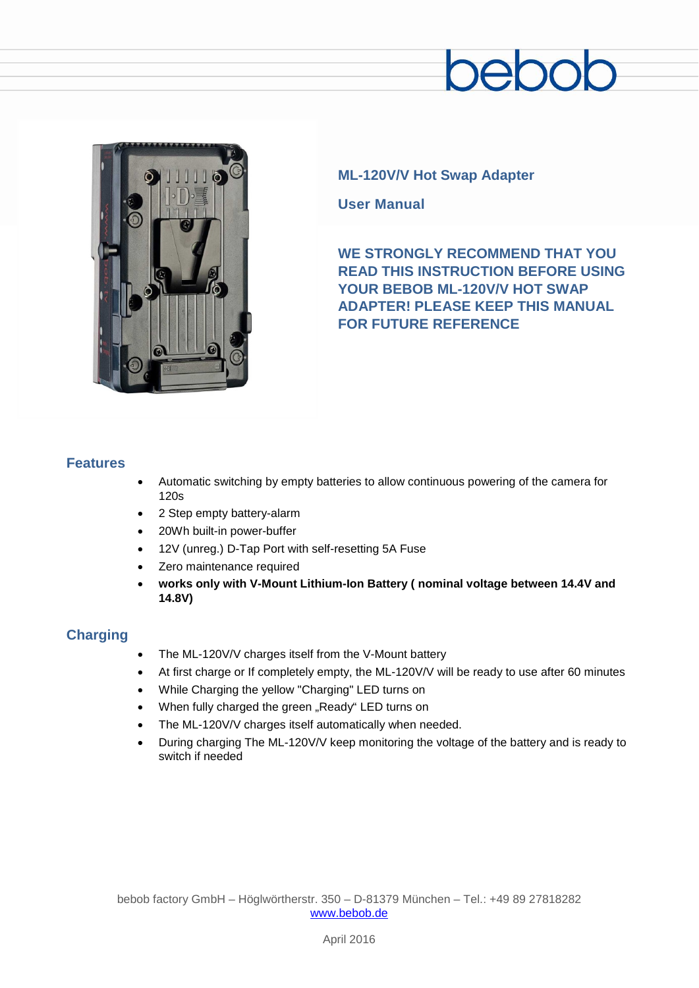# ebol



## **ML-120V/V Hot Swap Adapter**

**User Manual**

**WE STRONGLY RECOMMEND THAT YOU READ THIS INSTRUCTION BEFORE USING YOUR BEBOB ML-120V/V HOT SWAP ADAPTER! PLEASE KEEP THIS MANUAL FOR FUTURE REFERENCE**

#### **Features**

- Automatic switching by empty batteries to allow continuous powering of the camera for 120s
- 2 Step empty battery-alarm
- 20Wh built-in power-buffer
- 12V (unreg.) D-Tap Port with self-resetting 5A Fuse
- Zero maintenance required
- **works only with V-Mount Lithium-Ion Battery ( nominal voltage between 14.4V and 14.8V)**

### **Charging**

- The ML-120V/V charges itself from the V-Mount battery
- At first charge or If completely empty, the ML-120V/V will be ready to use after 60 minutes
- While Charging the yellow "Charging" LED turns on
- When fully charged the green "Ready" LED turns on
- The ML-120V/V charges itself automatically when needed.
- During charging The ML-120V/V keep monitoring the voltage of the battery and is ready to switch if needed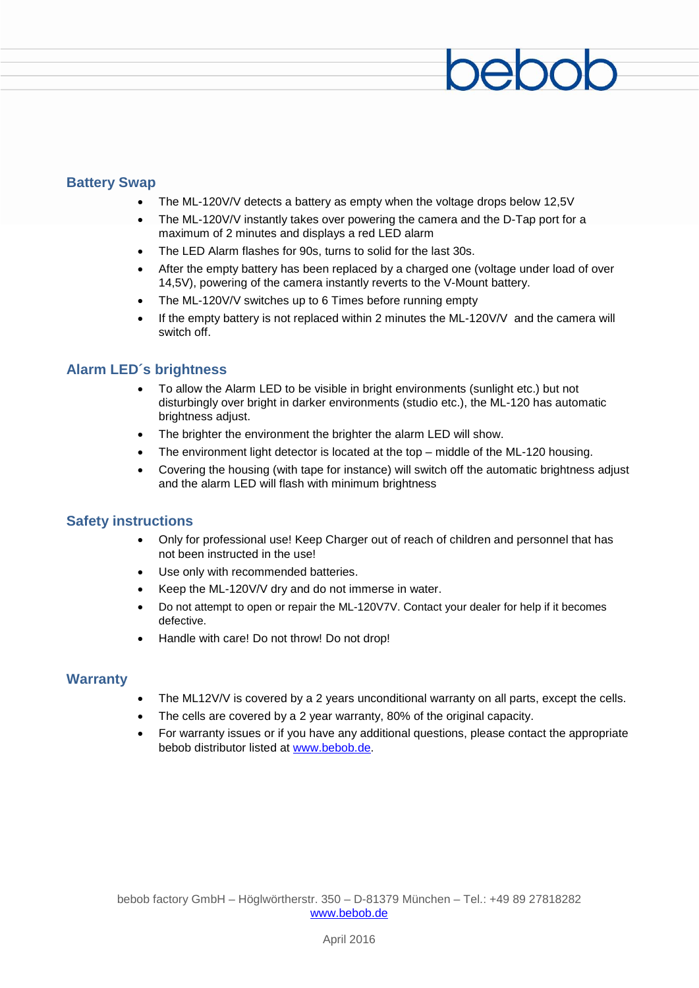#### **Battery Swap**

- The ML-120V/V detects a battery as empty when the voltage drops below 12,5V
- The ML-120V/V instantly takes over powering the camera and the D-Tap port for a maximum of 2 minutes and displays a red LED alarm
- The LED Alarm flashes for 90s, turns to solid for the last 30s.
- After the empty battery has been replaced by a charged one (voltage under load of over 14,5V), powering of the camera instantly reverts to the V-Mount battery.
- The ML-120V/V switches up to 6 Times before running empty
- If the empty battery is not replaced within 2 minutes the ML-120V/V and the camera will switch off.

#### **Alarm LED´s brightness**

- To allow the Alarm LED to be visible in bright environments (sunlight etc.) but not disturbingly over bright in darker environments (studio etc.), the ML-120 has automatic brightness adjust.
- The brighter the environment the brighter the alarm LED will show.
- The environment light detector is located at the top  $-$  middle of the ML-120 housing.
- Covering the housing (with tape for instance) will switch off the automatic brightness adjust and the alarm LED will flash with minimum brightness

#### **Safety instructions**

- Only for professional use! Keep Charger out of reach of children and personnel that has not been instructed in the use!
- Use only with recommended batteries.
- Keep the ML-120V/V drv and do not immerse in water.
- Do not attempt to open or repair the ML-120V7V. Contact your dealer for help if it becomes defective.
- Handle with care! Do not throw! Do not drop!

#### **Warranty**

- The ML12V/V is covered by a 2 years unconditional warranty on all parts, except the cells.
- The cells are covered by a 2 year warranty, 80% of the original capacity.
- For warranty issues or if you have any additional questions, please contact the appropriate bebob distributor listed at [www.bebob.de.](http://www.bebob.de/)